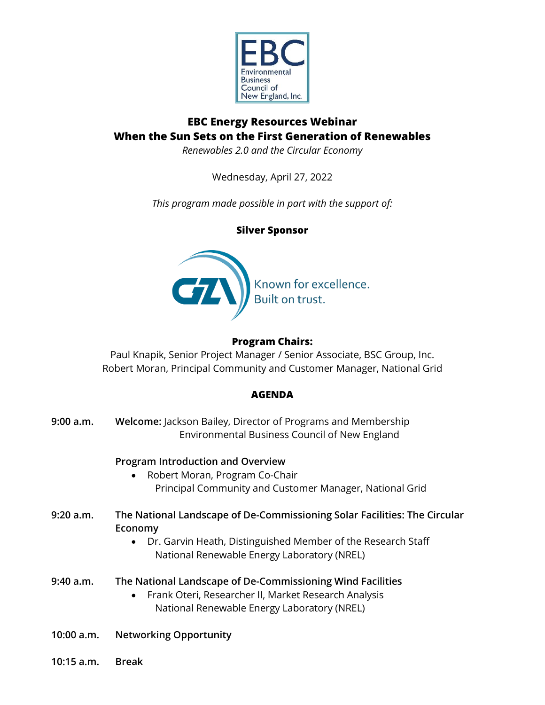

# **EBC Energy Resources Webinar When the Sun Sets on the First Generation of Renewables**

*Renewables 2.0 and the Circular Economy*

Wednesday, April 27, 2022

*This program made possible in part with the support of:*

**Silver Sponsor**



# **Program Chairs:**

Paul Knapik, Senior Project Manager / Senior Associate, BSC Group, Inc. Robert Moran, Principal Community and Customer Manager, National Grid

# **AGENDA**

| 9:00 a.m.  | Welcome: Jackson Bailey, Director of Programs and Membership<br>Environmental Business Council of New England                                                                                       |
|------------|-----------------------------------------------------------------------------------------------------------------------------------------------------------------------------------------------------|
|            | <b>Program Introduction and Overview</b><br>Robert Moran, Program Co-Chair<br>Principal Community and Customer Manager, National Grid                                                               |
| 9:20 a.m.  | The National Landscape of De-Commissioning Solar Facilities: The Circular<br>Economy<br>Dr. Garvin Heath, Distinguished Member of the Research Staff<br>National Renewable Energy Laboratory (NREL) |
| 9:40 a.m.  | The National Landscape of De-Commissioning Wind Facilities<br>Frank Oteri, Researcher II, Market Research Analysis<br>$\bullet$<br>National Renewable Energy Laboratory (NREL)                      |
| 10:00 a.m. | <b>Networking Opportunity</b>                                                                                                                                                                       |

**10:15 a.m. Break**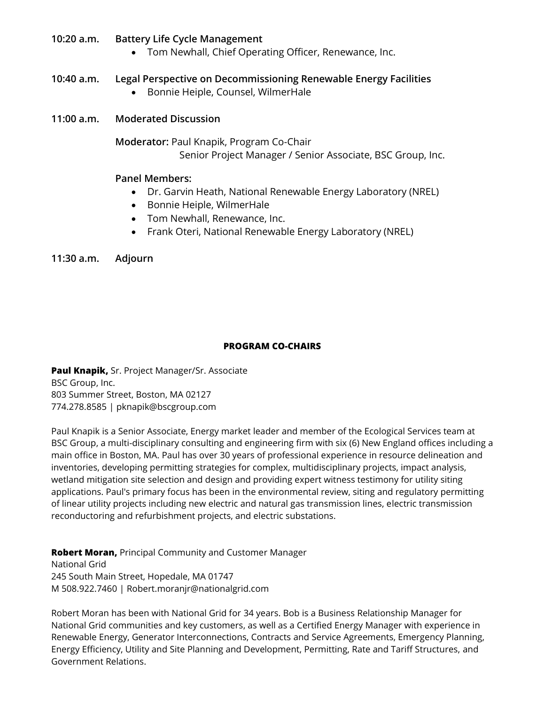### **10:20 a.m. Battery Life Cycle Management**

• Tom Newhall, Chief Operating Officer, Renewance, Inc.

## **10:40 a.m. Legal Perspective on Decommissioning Renewable Energy Facilities**

• Bonnie Heiple, Counsel, WilmerHale

### **11:00 a.m. Moderated Discussion**

**Moderator:** Paul Knapik, Program Co-Chair Senior Project Manager / Senior Associate, BSC Group, Inc.

#### **Panel Members:**

- Dr. Garvin Heath, National Renewable Energy Laboratory (NREL)
- Bonnie Heiple, WilmerHale
- Tom Newhall, Renewance, Inc.
- Frank Oteri, National Renewable Energy Laboratory (NREL)

#### **11:30 a.m. Adjourn**

#### **PROGRAM CO-CHAIRS**

**Paul Knapik,** Sr. Project Manager/Sr. Associate BSC Group, Inc. 803 Summer Street, Boston, MA 02127 774.278.8585 | pknapik@bscgroup.com

Paul Knapik is a Senior Associate, Energy market leader and member of the Ecological Services team at BSC Group, a multi-disciplinary consulting and engineering firm with six (6) New England offices including a main office in Boston, MA. Paul has over 30 years of professional experience in resource delineation and inventories, developing permitting strategies for complex, multidisciplinary projects, impact analysis, wetland mitigation site selection and design and providing expert witness testimony for utility siting applications. Paul's primary focus has been in the environmental review, siting and regulatory permitting of linear utility projects including new electric and natural gas transmission lines, electric transmission reconductoring and refurbishment projects, and electric substations.

**Robert Moran,** Principal Community and Customer Manager National Grid 245 South Main Street, Hopedale, MA 01747 M 508.922.7460 | Robert.moranjr@nationalgrid.com

Robert Moran has been with National Grid for 34 years. Bob is a Business Relationship Manager for National Grid communities and key customers, as well as a Certified Energy Manager with experience in Renewable Energy, Generator Interconnections, Contracts and Service Agreements, Emergency Planning, Energy Efficiency, Utility and Site Planning and Development, Permitting, Rate and Tariff Structures, and Government Relations.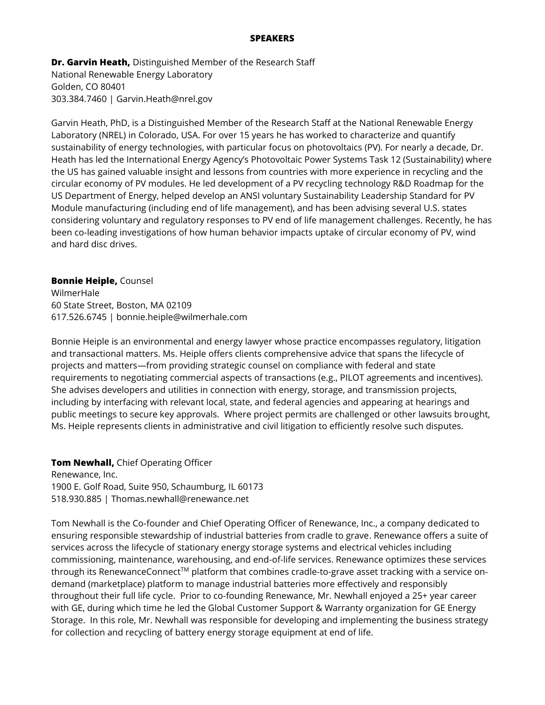#### **SPEAKERS**

**Dr. Garvin Heath,** Distinguished Member of the Research Staff National Renewable Energy Laboratory Golden, CO 80401 303.384.7460 | Garvin.Heath@nrel.gov

Garvin Heath, PhD, is a Distinguished Member of the Research Staff at the National Renewable Energy Laboratory (NREL) in Colorado, USA. For over 15 years he has worked to characterize and quantify sustainability of energy technologies, with particular focus on photovoltaics (PV). For nearly a decade, Dr. Heath has led the International Energy Agency's Photovoltaic Power Systems Task 12 (Sustainability) where the US has gained valuable insight and lessons from countries with more experience in recycling and the circular economy of PV modules. He led development of a PV recycling technology R&D Roadmap for the US Department of Energy, helped develop an ANSI voluntary Sustainability Leadership Standard for PV Module manufacturing (including end of life management), and has been advising several U.S. states considering voluntary and regulatory responses to PV end of life management challenges. Recently, he has been co-leading investigations of how human behavior impacts uptake of circular economy of PV, wind and hard disc drives.

**Bonnie Heiple,** Counsel WilmerHale 60 State Street, Boston, MA 02109 617.526.6745 | bonnie.heiple@wilmerhale.com

Bonnie Heiple is an environmental and energy lawyer whose practice encompasses regulatory, litigation and transactional matters. Ms. Heiple offers clients comprehensive advice that spans the lifecycle of projects and matters—from providing strategic counsel on compliance with federal and state requirements to negotiating commercial aspects of transactions (e.g., PILOT agreements and incentives). She advises developers and utilities in connection with energy, storage, and transmission projects, including by interfacing with relevant local, state, and federal agencies and appearing at hearings and public meetings to secure key approvals. Where project permits are challenged or other lawsuits brought, Ms. Heiple represents clients in administrative and civil litigation to efficiently resolve such disputes.

**Tom Newhall,** Chief Operating Officer Renewance, Inc. 1900 E. Golf Road, Suite 950, Schaumburg, IL 60173 518.930.885 | Thomas.newhall@renewance.net

Tom Newhall is the Co-founder and Chief Operating Officer of Renewance, Inc., a company dedicated to ensuring responsible stewardship of industrial batteries from cradle to grave. Renewance offers a suite of services across the lifecycle of stationary energy storage systems and electrical vehicles including commissioning, maintenance, warehousing, and end-of-life services. Renewance optimizes these services through its RenewanceConnect<sup>TM</sup> platform that combines cradle-to-grave asset tracking with a service ondemand (marketplace) platform to manage industrial batteries more effectively and responsibly throughout their full life cycle. Prior to co-founding Renewance, Mr. Newhall enjoyed a 25+ year career with GE, during which time he led the Global Customer Support & Warranty organization for GE Energy Storage. In this role, Mr. Newhall was responsible for developing and implementing the business strategy for collection and recycling of battery energy storage equipment at end of life.